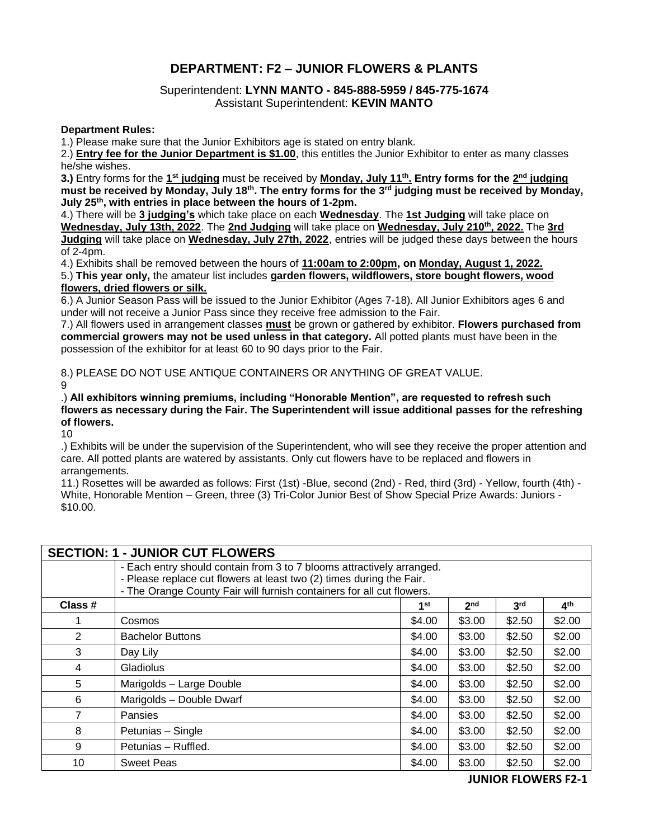## **DEPARTMENT: F2 – JUNIOR FLOWERS & PLANTS**

## Superintendent: **LYNN MANTO - 845-888-5959 / 845-775-1674** Assistant Superintendent: **KEVIN MANTO**

## **Department Rules:**

1.) Please make sure that the Junior Exhibitors age is stated on entry blank.

2.) **Entry fee for the Junior Department is \$1.00**, this entitles the Junior Exhibitor to enter as many classes he/she wishes.

**3.)** Entry forms for the **1 st judging** must be received by **Monday, July 11th . Entry forms for the 2 nd judging must be received by Monday, July 18th. The entry forms for the 3rd judging must be received by Monday, July 25th, with entries in place between the hours of 1-2pm.**

4.) There will be **3 judging's** which take place on each **Wednesday**. The **1st Judging** will take place on **Wednesday, July 13th, 2022**. The **2nd Judging** will take place on **Wednesday, July 210th, 2022.** The **3rd Judging** will take place on **Wednesday, July 27th, 2022**, entries will be judged these days between the hours of 2-4pm.

4.) Exhibits shall be removed between the hours of **11:00am to 2:00pm, on Monday, August 1, 2022.**

5.) **This year only,** the amateur list includes **garden flowers, wildflowers, store bought flowers, wood flowers, dried flowers or silk.**

6.) A Junior Season Pass will be issued to the Junior Exhibitor (Ages 7-18). All Junior Exhibitors ages 6 and under will not receive a Junior Pass since they receive free admission to the Fair.

7.) All flowers used in arrangement classes **must** be grown or gathered by exhibitor. **Flowers purchased from commercial growers may not be used unless in that category.** All potted plants must have been in the possession of the exhibitor for at least 60 to 90 days prior to the Fair.

8.) PLEASE DO NOT USE ANTIQUE CONTAINERS OR ANYTHING OF GREAT VALUE.

9

.) **All exhibitors winning premiums, including "Honorable Mention", are requested to refresh such flowers as necessary during the Fair. The Superintendent will issue additional passes for the refreshing of flowers.**

10

.) Exhibits will be under the supervision of the Superintendent, who will see they receive the proper attention and care. All potted plants are watered by assistants. Only cut flowers have to be replaced and flowers in arrangements.

11.) Rosettes will be awarded as follows: First (1st) -Blue, second (2nd) - Red, third (3rd) - Yellow, fourth (4th) - White, Honorable Mention – Green, three (3) Tri-Color Junior Best of Show Special Prize Awards: Juniors - \$10.00.

| <b>SECTION: 1 - JUNIOR CUT FLOWERS</b> |                                                                       |                                                                      |                 |                 |                 |  |  |
|----------------------------------------|-----------------------------------------------------------------------|----------------------------------------------------------------------|-----------------|-----------------|-----------------|--|--|
|                                        | - Each entry should contain from 3 to 7 blooms attractively arranged. |                                                                      |                 |                 |                 |  |  |
|                                        |                                                                       | - Please replace cut flowers at least two (2) times during the Fair. |                 |                 |                 |  |  |
|                                        | - The Orange County Fair will furnish containers for all cut flowers. |                                                                      |                 |                 |                 |  |  |
| Class #                                |                                                                       | 1 <sup>st</sup>                                                      | 2 <sub>nd</sub> | 3 <sup>rd</sup> | 4 <sup>th</sup> |  |  |
| 1                                      | Cosmos                                                                | \$4.00                                                               | \$3.00          | \$2.50          | \$2.00          |  |  |
| 2                                      | <b>Bachelor Buttons</b>                                               | \$4.00                                                               | \$3.00          | \$2.50          | \$2.00          |  |  |
| 3                                      | Day Lily                                                              | \$4.00                                                               | \$3.00          | \$2.50          | \$2.00          |  |  |
| 4                                      | Gladiolus                                                             | \$4.00                                                               | \$3.00          | \$2.50          | \$2.00          |  |  |
| 5                                      | Marigolds - Large Double                                              | \$4.00                                                               | \$3.00          | \$2.50          | \$2.00          |  |  |
| 6                                      | Marigolds - Double Dwarf                                              | \$4.00                                                               | \$3.00          | \$2.50          | \$2.00          |  |  |
| 7                                      | Pansies                                                               | \$4.00                                                               | \$3.00          | \$2.50          | \$2.00          |  |  |
| 8                                      | Petunias - Single                                                     | \$4.00                                                               | \$3.00          | \$2.50          | \$2.00          |  |  |
| 9                                      | Petunias - Ruffled.                                                   | \$4.00                                                               | \$3.00          | \$2.50          | \$2.00          |  |  |
| 10                                     | <b>Sweet Peas</b>                                                     | \$4.00                                                               | \$3.00          | \$2.50          | \$2.00          |  |  |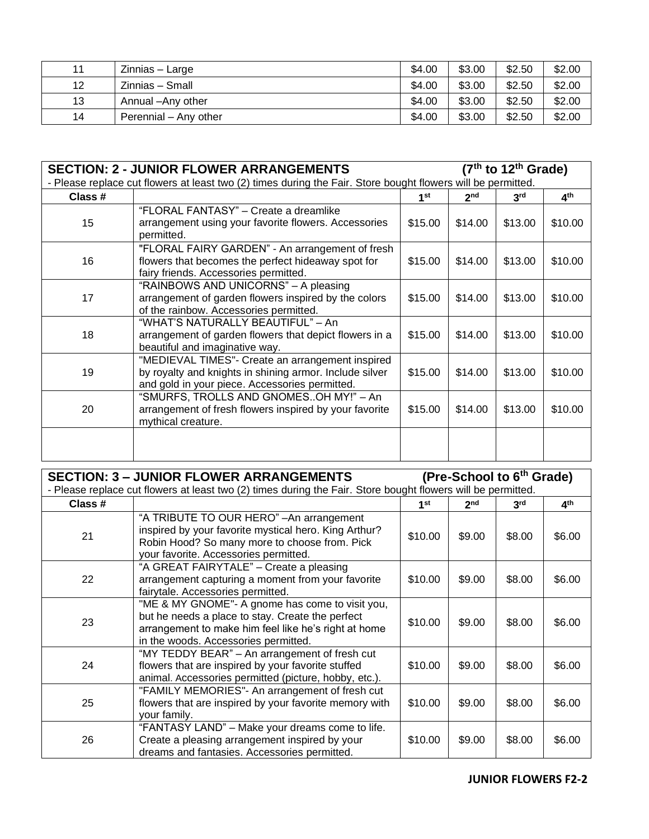| 11 | <b>Zinnias</b> – Large | \$4.00 | \$3.00 | \$2.50 | \$2.00 |
|----|------------------------|--------|--------|--------|--------|
| 12 | Zinnias - Small        | \$4.00 | \$3.00 | \$2.50 | \$2.00 |
| 13 | Annual - Any other     | \$4.00 | \$3.00 | \$2.50 | \$2.00 |
| 14 | Perennial - Any other  | \$4.00 | \$3.00 | \$2.50 | \$2.00 |

| <b>SECTION: 2 - JUNIOR FLOWER ARRANGEMENTS</b>                                                               |                                                                                                                                                               |                 | $(7th$ to 12 <sup>th</sup> Grade) |                 |                 |  |
|--------------------------------------------------------------------------------------------------------------|---------------------------------------------------------------------------------------------------------------------------------------------------------------|-----------------|-----------------------------------|-----------------|-----------------|--|
| - Please replace cut flowers at least two (2) times during the Fair. Store bought flowers will be permitted. |                                                                                                                                                               |                 |                                   |                 |                 |  |
| Class #                                                                                                      |                                                                                                                                                               | 1 <sup>st</sup> | 2 <sub>nd</sub>                   | 3 <sup>rd</sup> | 4 <sup>th</sup> |  |
| 15                                                                                                           | "FLORAL FANTASY" - Create a dreamlike<br>arrangement using your favorite flowers. Accessories<br>permitted.                                                   | \$15.00         | \$14.00                           | \$13.00         | \$10.00         |  |
| 16                                                                                                           | "FLORAL FAIRY GARDEN" - An arrangement of fresh<br>flowers that becomes the perfect hideaway spot for<br>fairy friends. Accessories permitted.                | \$15.00         | \$14.00                           | \$13.00         | \$10.00         |  |
| 17                                                                                                           | "RAINBOWS AND UNICORNS" - A pleasing<br>arrangement of garden flowers inspired by the colors<br>of the rainbow. Accessories permitted.                        | \$15.00         | \$14.00                           | \$13.00         | \$10.00         |  |
| 18                                                                                                           | "WHAT'S NATURALLY BEAUTIFUL" – An<br>arrangement of garden flowers that depict flowers in a<br>beautiful and imaginative way.                                 | \$15.00         | \$14.00                           | \$13.00         | \$10.00         |  |
| 19                                                                                                           | "MEDIEVAL TIMES"- Create an arrangement inspired<br>by royalty and knights in shining armor. Include silver<br>and gold in your piece. Accessories permitted. | \$15.00         | \$14.00                           | \$13.00         | \$10.00         |  |
| 20                                                                                                           | "SMURFS, TROLLS AND GNOMESOH MY!" - An<br>arrangement of fresh flowers inspired by your favorite<br>mythical creature.                                        | \$15.00         | \$14.00                           | \$13.00         | \$10.00         |  |
|                                                                                                              |                                                                                                                                                               |                 |                                   |                 |                 |  |

| <b>SECTION: 3 - JUNIOR FLOWER ARRANGEMENTS</b>                                                               |                                                                                                                                                                                                     |                 | (Pre-School to 6 <sup>th</sup> Grade) |                 |                 |  |
|--------------------------------------------------------------------------------------------------------------|-----------------------------------------------------------------------------------------------------------------------------------------------------------------------------------------------------|-----------------|---------------------------------------|-----------------|-----------------|--|
| - Please replace cut flowers at least two (2) times during the Fair. Store bought flowers will be permitted. |                                                                                                                                                                                                     |                 |                                       |                 |                 |  |
| Class #                                                                                                      |                                                                                                                                                                                                     | 1 <sup>st</sup> | 2 <sub>nd</sub>                       | 3 <sup>rd</sup> | 4 <sup>th</sup> |  |
| 21                                                                                                           | "A TRIBUTE TO OUR HERO" - An arrangement<br>inspired by your favorite mystical hero. King Arthur?<br>Robin Hood? So many more to choose from. Pick<br>your favorite. Accessories permitted.         | \$10.00         | \$9.00                                | \$8.00          | \$6.00          |  |
| 22                                                                                                           | "A GREAT FAIRYTALE" – Create a pleasing<br>arrangement capturing a moment from your favorite<br>fairytale. Accessories permitted.                                                                   | \$10.00         | \$9.00                                | \$8.00          | \$6.00          |  |
| 23                                                                                                           | "ME & MY GNOME"- A gnome has come to visit you,<br>but he needs a place to stay. Create the perfect<br>arrangement to make him feel like he's right at home<br>in the woods. Accessories permitted. | \$10.00         | \$9.00                                | \$8.00          | \$6.00          |  |
| 24                                                                                                           | "MY TEDDY BEAR" – An arrangement of fresh cut<br>flowers that are inspired by your favorite stuffed<br>animal. Accessories permitted (picture, hobby, etc.).                                        | \$10.00         | \$9.00                                | \$8.00          | \$6.00          |  |
| 25                                                                                                           | "FAMILY MEMORIES"- An arrangement of fresh cut<br>flowers that are inspired by your favorite memory with<br>your family.                                                                            | \$10.00         | \$9.00                                | \$8.00          | \$6.00          |  |
| 26                                                                                                           | "FANTASY LAND" – Make your dreams come to life.<br>Create a pleasing arrangement inspired by your<br>dreams and fantasies. Accessories permitted.                                                   | \$10.00         | \$9.00                                | \$8.00          | \$6.00          |  |